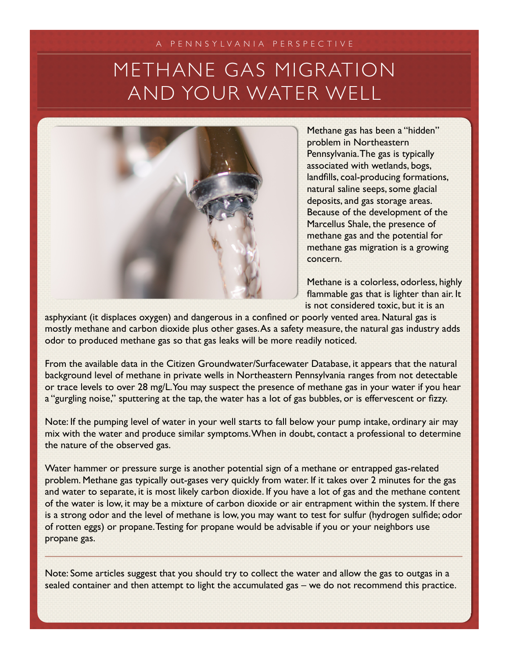## METHANE GAS MIGRATION AND YOUR WATER WELL



Methane gas has been a "hidden" problem in Northeastern Pennsylvania. The gas is typically associated with wetlands, bogs, landfills, coal-producing formations, natural saline seeps, some glacial deposits, and gas storage areas. Because of the development of the Marcellus Shale, the presence of methane gas and the potential for methane gas migration is a growing concern.

Methane is a colorless, odorless, highly flammable gas that is lighter than air. It is not considered toxic, but it is an

asphyxiant (it displaces oxygen) and dangerous in a confined or poorly vented area. Natural gas is mostly methane and carbon dioxide plus other gases. As a safety measure, the natural gas industry adds odor to produced methane gas so that gas leaks will be more readily noticed.

From the available data in the Citizen Groundwater/Surfacewater Database, it appears that the natural background level of methane in private wells in Northeastern Pennsylvania ranges from not detectable or trace levels to over 28 mg/L. You may suspect the presence of methane gas in your water if you hear a "gurgling noise," sputtering at the tap, the water has a lot of gas bubbles, or is effervescent or fizzy.

Note: If the pumping level of water in your well starts to fall below your pump intake, ordinary air may mix with the water and produce similar symptoms. When in doubt, contact a professional to determine the nature of the observed gas.

Water hammer or pressure surge is another potential sign of a methane or entrapped gas-related problem. Methane gas typically out-gases very quickly from water. If it takes over 2 minutes for the gas and water to separate, it is most likely carbon dioxide. If you have a lot of gas and the methane content of the water is low, it may be a mixture of carbon dioxide or air entrapment within the system. If there is a strong odor and the level of methane is low, you may want to test for sulfur (hydrogen sulfide; odor of rotten eggs) or propane. Testing for propane would be advisable if you or your neighbors use propane gas.

Note: Some articles suggest that you should try to collect the water and allow the gas to outgas in a sealed container and then attempt to light the accumulated gas – we do not recommend this practice.